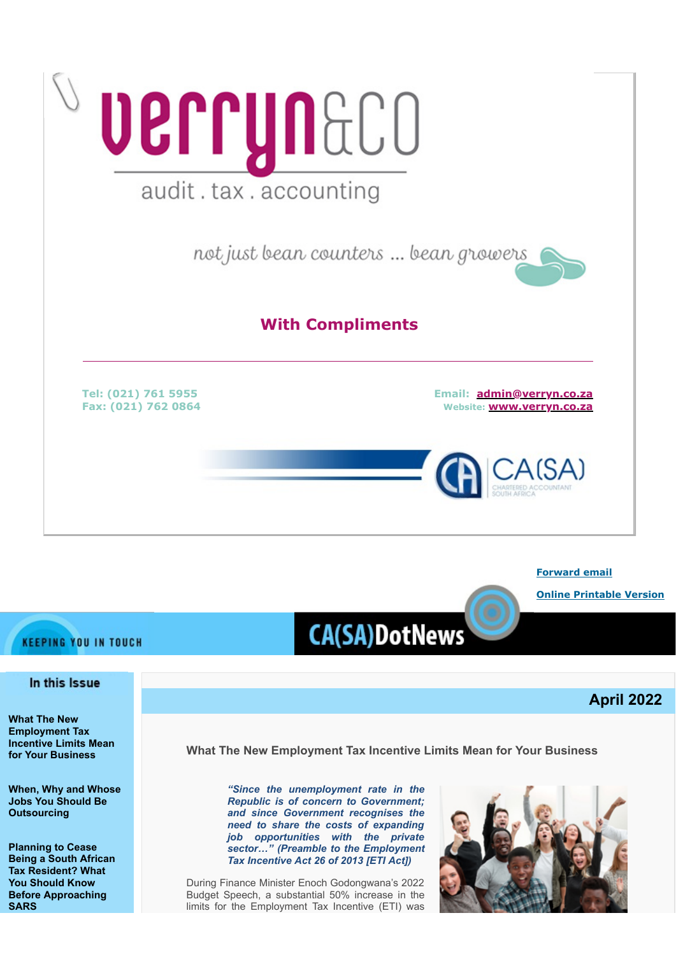

**[Forward email](http://www.dotnews.co.za/Code/Forward.aspx?qry=yKPR5eDKNlaukY9Ps7iCg82kculJep7yP_0wYp-PIUKr8v6mcornl_XtdVOKKyqSauaeswYqlW1oHcXuIuJcAUaJ6LT2C8iYQpkZHKI_O0onNt-nK2RVnZdmIckappPfsSm6A8CuCQNNOpEFuOf_aR4DknCQMlh-ECXNOjNkVxo=-NOPAD)**

**[Online Printable Version](http://www.dotnews.co.za/Code/print.aspx?qry=yKPR5eDKNlaukY9Ps7iCg82kculJep7yP_0wYp-PIUKr8v6mcornl_XtdVOKKyqSauaeswYqlW1oHcXuIuJcAUaJ6LT2C8iYQpkZHKI_O0oaHxsBFHF57ISfH07dbfAe-NOPAD)**

**April 2022**

# **KEEPING YOU IN TOUCH**

## In this Issue

**[What The New](#page-0-0) [Employment Tax](#page-0-0) [Incentive Limits Mean](#page-0-0) [for Your Business](#page-0-0)**

**[When, Why and Whose](#page-2-0) [Jobs You Should Be](#page-2-0) [Outsourcing](#page-2-0)**

**[Planning to Cease](#page-4-0) [Being a South African](#page-4-0) [Tax Resident? What](#page-4-0) [You Should Know](#page-4-0) [Before Approaching](#page-4-0) [SARS](#page-4-0)**

<span id="page-0-0"></span>**What The New Employment Tax Incentive Limits Mean for Your Business**

**CA(SA)DotNews** 

*"Since the unemployment rate in the Republic is of concern to Government; and since Government recognises the need to share the costs of expanding job opportunities with the private sector…" (Preamble to the Employment Tax Incentive Act 26 of 2013 [ETI Act])*

During Finance Minister Enoch Godongwana's 2022 Budget Speech, a substantial 50% increase in the limits for the Employment Tax Incentive (ETI) was

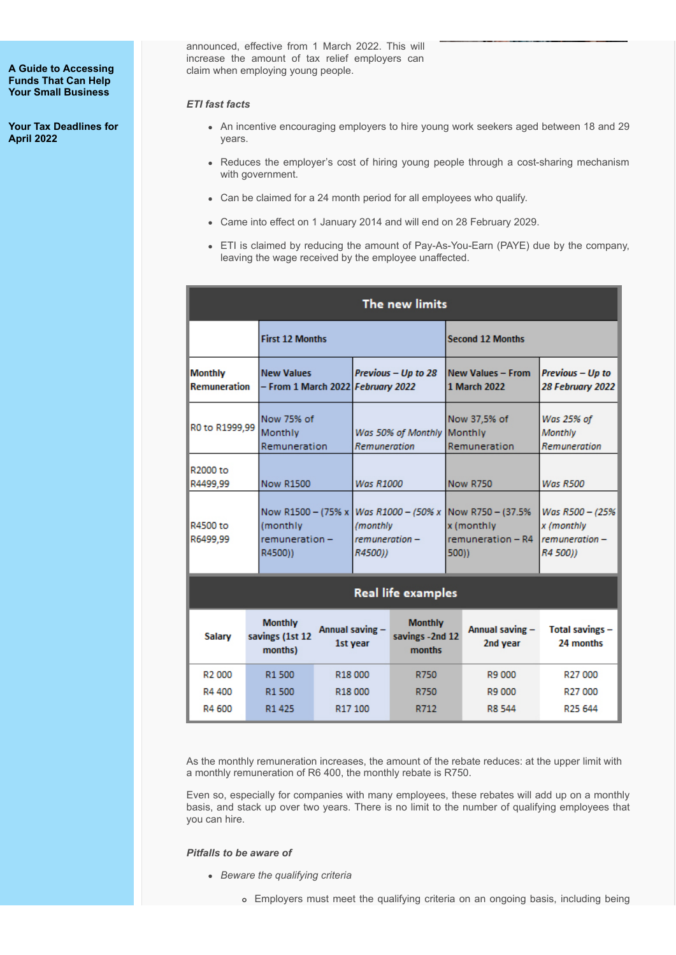**[A Guide to Accessing](#page-6-0) [Funds That Can Help](#page-6-0) [Your Small Business](#page-6-0)**

**[Your Tax Deadlines for](#page-8-0) [April 2022](#page-8-0)**

announced, effective from 1 March 2022. This will increase the amount of tax relief employers can claim when employing young people.

### *ETI fast facts*

- An incentive encouraging employers to hire young work seekers aged between 18 and 29 years.
- Reduces the employer's cost of hiring young people through a cost-sharing mechanism with government.
- Can be claimed for a 24 month period for all employees who qualify.
- Came into effect on 1 January 2014 and will end on 28 February 2029.
- ETI is claimed by reducing the amount of Pay-As-You-Earn (PAYE) due by the company, leaving the wage received by the employee unaffected.

| The new limits                                                                                  |                                              |                                     |                     |                                                               |                 |                                                                  |                                                            |  |
|-------------------------------------------------------------------------------------------------|----------------------------------------------|-------------------------------------|---------------------|---------------------------------------------------------------|-----------------|------------------------------------------------------------------|------------------------------------------------------------|--|
|                                                                                                 | <b>First 12 Months</b>                       |                                     |                     |                                                               |                 | <b>Second 12 Months</b>                                          |                                                            |  |
| <b>Monthly</b><br><b>New Values</b><br><b>Remuneration</b><br>- From 1 March 2022 February 2022 |                                              | Previous - Up to 28                 |                     | <b>New Values - From</b><br>1 March 2022                      |                 | Previous - Up to<br>28 February 2022                             |                                                            |  |
| R0 to R1999.99                                                                                  | Monthly                                      | Now 75% of<br>Remuneration          |                     | Was 50% of Monthly<br>Remuneration                            |                 | Now 37,5% of<br>Monthly<br>Remuneration                          | Was 25% of<br>Monthly<br>Remuneration                      |  |
| R2000 to<br>R4499.99                                                                            | <b>Now R1500</b>                             |                                     | <b>Was R1000</b>    |                                                               | <b>Now R750</b> |                                                                  | <b>Was R500</b>                                            |  |
| R4500 to<br>R6499.99                                                                            | (monthly<br>R4500))                          | Now R1500 - (75% x<br>remuneration- |                     | Was R1000 - (50% x<br>(monthly<br>$remuneration -$<br>R4500)) |                 | Now R750 - (37.5%)<br>x (monthly<br>$remuneration - R4$<br>500)) | Was R500 - (25%<br>x (monthly<br>remuneration-<br>R4 500)) |  |
| <b>Real life examples</b>                                                                       |                                              |                                     |                     |                                                               |                 |                                                                  |                                                            |  |
| Salary                                                                                          | <b>Monthly</b><br>savings (1st 12<br>months) | Annual saving -<br>1st year         |                     | <b>Monthly</b><br>savings - 2nd 12<br>months                  |                 | Annual saving -<br>2nd year                                      | Total savings -<br>24 months                               |  |
| R <sub>2</sub> 000                                                                              | R <sub>1500</sub>                            |                                     | R <sub>18</sub> 000 | R750                                                          |                 | R9 000                                                           | R <sub>27</sub> 000                                        |  |
| R4 400                                                                                          | R1 500                                       |                                     | R18000              | R750                                                          |                 | R9 000                                                           | R <sub>27</sub> 000                                        |  |
| R4 600                                                                                          | R1 425                                       |                                     | R17 100             | R712                                                          |                 | R8 544                                                           | R <sub>25</sub> 644                                        |  |

As the monthly remuneration increases, the amount of the rebate reduces: at the upper limit with a monthly remuneration of R6 400, the monthly rebate is R750.

Even so, especially for companies with many employees, these rebates will add up on a monthly basis, and stack up over two years. There is no limit to the number of qualifying employees that you can hire.

*Pitfalls to be aware of*

- *Beware the qualifying criteria*
	- Employers must meet the qualifying criteria on an ongoing basis, including being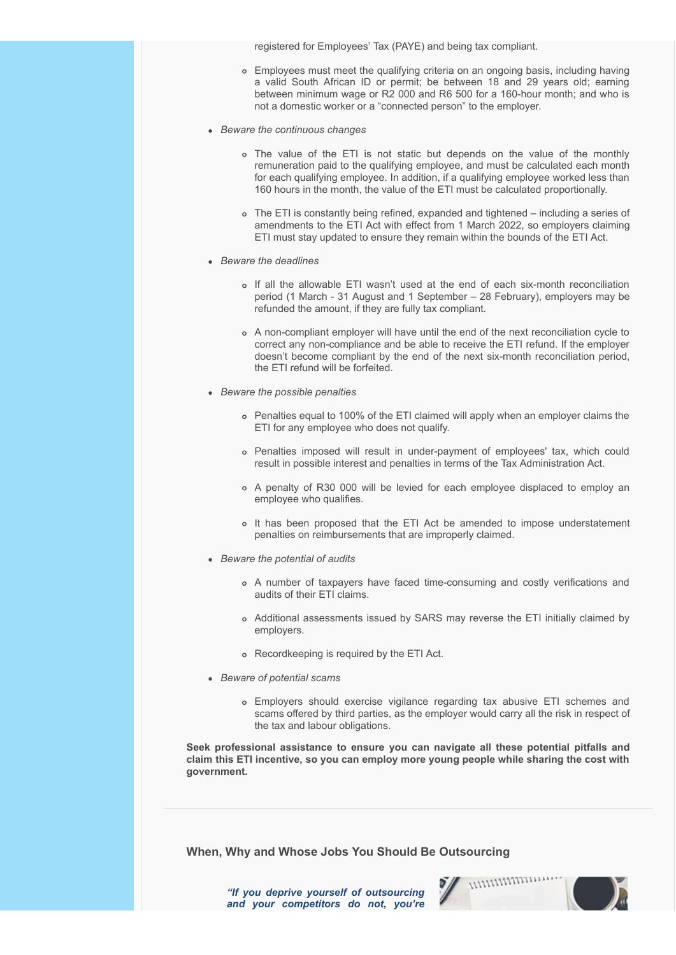registered for Employees' Tax (PAYE) and being tax compliant.

- Employees must meet the qualifying criteria on an ongoing basis, including having a valid South African ID or permit; be between 18 and 29 years old; earning between minimum wage or R2 000 and R6 500 for a 160-hour month; and who is not a domestic worker or a "connected person" to the employer.
- *Beware the continuous changes*
	- The value of the ETI is not static but depends on the value of the monthly remuneration paid to the qualifying employee, and must be calculated each month for each qualifying employee. In addition, if a qualifying employee worked less than 160 hours in the month, the value of the ETI must be calculated proportionally.
	- The ETI is constantly being refined, expanded and tightened including a series of amendments to the ETI Act with effect from 1 March 2022, so employers claiming ETI must stay updated to ensure they remain within the bounds of the ETI Act.
- *Beware the deadlines*
	- o If all the allowable ETI wasn't used at the end of each six-month reconciliation period (1 March - 31 August and 1 September – 28 February), employers may be refunded the amount, if they are fully tax compliant.
	- A non-compliant employer will have until the end of the next reconciliation cycle to correct any non-compliance and be able to receive the ETI refund. If the employer doesn't become compliant by the end of the next six-month reconciliation period, the ETI refund will be forfeited.
- *Beware the possible penalties*
	- Penalties equal to 100% of the ETI claimed will apply when an employer claims the ETI for any employee who does not qualify.
	- Penalties imposed will result in under-payment of employees' tax, which could result in possible interest and penalties in terms of the Tax Administration Act.
	- A penalty of R30 000 will be levied for each employee displaced to employ an employee who qualifies.
	- It has been proposed that the ETI Act be amended to impose understatement penalties on reimbursements that are improperly claimed.
- *Beware the potential of audits*
	- A number of taxpayers have faced time-consuming and costly verifications and audits of their ETI claims.
	- Additional assessments issued by SARS may reverse the ETI initially claimed by employers.
	- Recordkeeping is required by the ETI Act.
- *Beware of potential scams*
	- Employers should exercise vigilance regarding tax abusive ETI schemes and scams offered by third parties, as the employer would carry all the risk in respect of the tax and labour obligations.

**Seek professional assistance to ensure you can navigate all these potential pitfalls and claim this ETI incentive, so you can employ more young people while sharing the cost with government.**

<span id="page-2-0"></span>**When, Why and Whose Jobs You Should Be Outsourcing**

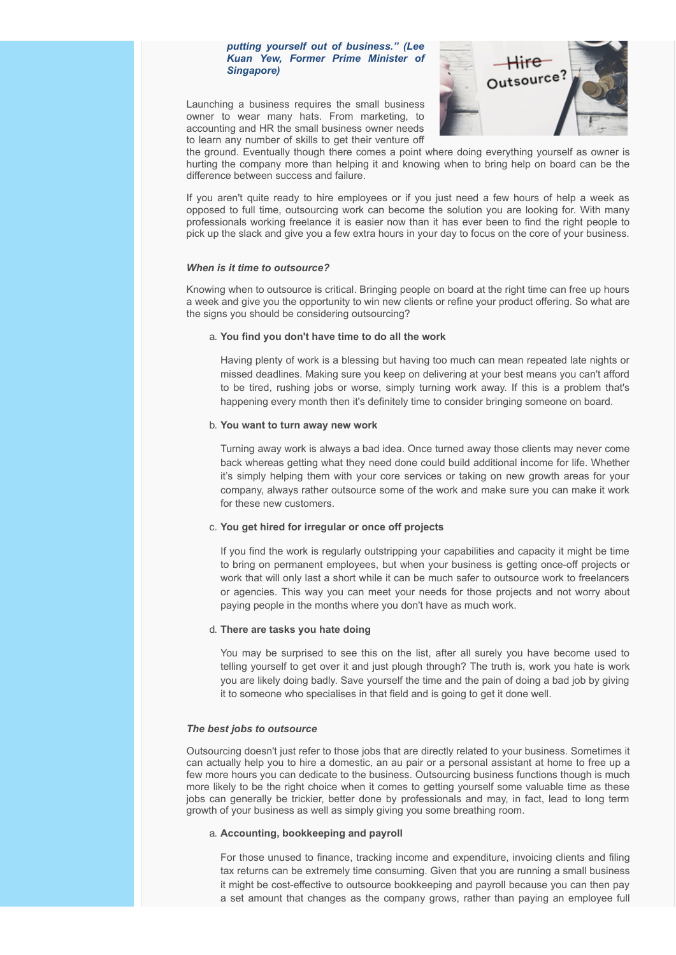#### *putting yourself out of business." (Lee Kuan Yew, Former Prime Minister of Singapore)*

Launching a business requires the small business owner to wear many hats. From marketing, to accounting and HR the small business owner needs to learn any number of skills to get their venture off



the ground. Eventually though there comes a point where doing everything yourself as owner is hurting the company more than helping it and knowing when to bring help on board can be the difference between success and failure.

If you aren't quite ready to hire employees or if you just need a few hours of help a week as opposed to full time, outsourcing work can become the solution you are looking for. With many professionals working freelance it is easier now than it has ever been to find the right people to pick up the slack and give you a few extra hours in your day to focus on the core of your business.

#### *When is it time to outsource?*

Knowing when to outsource is critical. Bringing people on board at the right time can free up hours a week and give you the opportunity to win new clients or refine your product offering. So what are the signs you should be considering outsourcing?

#### a. **You find you don't have time to do all the work**

Having plenty of work is a blessing but having too much can mean repeated late nights or missed deadlines. Making sure you keep on delivering at your best means you can't afford to be tired, rushing jobs or worse, simply turning work away. If this is a problem that's happening every month then it's definitely time to consider bringing someone on board.

#### b. **You want to turn away new work**

Turning away work is always a bad idea. Once turned away those clients may never come back whereas getting what they need done could build additional income for life. Whether it's simply helping them with your core services or taking on new growth areas for your company, always rather outsource some of the work and make sure you can make it work for these new customers.

#### c. **You get hired for irregular or once off projects**

If you find the work is regularly outstripping your capabilities and capacity it might be time to bring on permanent employees, but when your business is getting once-off projects or work that will only last a short while it can be much safer to outsource work to freelancers or agencies. This way you can meet your needs for those projects and not worry about paying people in the months where you don't have as much work.

#### d. **There are tasks you hate doing**

You may be surprised to see this on the list, after all surely you have become used to telling yourself to get over it and just plough through? The truth is, work you hate is work you are likely doing badly. Save yourself the time and the pain of doing a bad job by giving it to someone who specialises in that field and is going to get it done well.

#### *The best jobs to outsource*

Outsourcing doesn't just refer to those jobs that are directly related to your business. Sometimes it can actually help you to hire a domestic, an au pair or a personal assistant at home to free up a few more hours you can dedicate to the business. Outsourcing business functions though is much more likely to be the right choice when it comes to getting yourself some valuable time as these jobs can generally be trickier, better done by professionals and may, in fact, lead to long term growth of your business as well as simply giving you some breathing room.

#### a. **Accounting, bookkeeping and payroll**

For those unused to finance, tracking income and expenditure, invoicing clients and filing tax returns can be extremely time consuming. Given that you are running a small business it might be cost-effective to outsource bookkeeping and payroll because you can then pay a set amount that changes as the company grows, rather than paying an employee full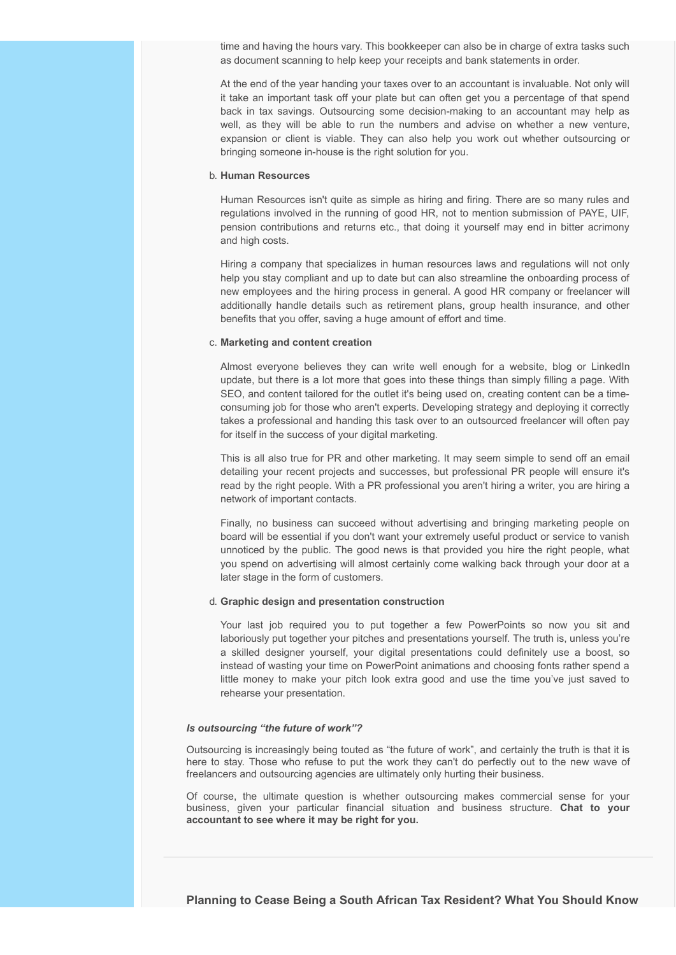time and having the hours vary. This bookkeeper can also be in charge of extra tasks such as document scanning to help keep your receipts and bank statements in order.

At the end of the year handing your taxes over to an accountant is invaluable. Not only will it take an important task off your plate but can often get you a percentage of that spend back in tax savings. Outsourcing some decision-making to an accountant may help as well, as they will be able to run the numbers and advise on whether a new venture, expansion or client is viable. They can also help you work out whether outsourcing or bringing someone in-house is the right solution for you.

#### b. **Human Resources**

Human Resources isn't quite as simple as hiring and firing. There are so many rules and regulations involved in the running of good HR, not to mention submission of PAYE, UIF, pension contributions and returns etc., that doing it yourself may end in bitter acrimony and high costs.

Hiring a company that specializes in human resources laws and regulations will not only help you stay compliant and up to date but can also streamline the onboarding process of new employees and the hiring process in general. A good HR company or freelancer will additionally handle details such as retirement plans, group health insurance, and other benefits that you offer, saving a huge amount of effort and time.

#### c. **Marketing and content creation**

Almost everyone believes they can write well enough for a website, blog or LinkedIn update, but there is a lot more that goes into these things than simply filling a page. With SEO, and content tailored for the outlet it's being used on, creating content can be a timeconsuming job for those who aren't experts. Developing strategy and deploying it correctly takes a professional and handing this task over to an outsourced freelancer will often pay for itself in the success of your digital marketing.

This is all also true for PR and other marketing. It may seem simple to send off an email detailing your recent projects and successes, but professional PR people will ensure it's read by the right people. With a PR professional you aren't hiring a writer, you are hiring a network of important contacts.

Finally, no business can succeed without advertising and bringing marketing people on board will be essential if you don't want your extremely useful product or service to vanish unnoticed by the public. The good news is that provided you hire the right people, what you spend on advertising will almost certainly come walking back through your door at a later stage in the form of customers.

#### d. **Graphic design and presentation construction**

Your last job required you to put together a few PowerPoints so now you sit and laboriously put together your pitches and presentations yourself. The truth is, unless you're a skilled designer yourself, your digital presentations could definitely use a boost, so instead of wasting your time on PowerPoint animations and choosing fonts rather spend a little money to make your pitch look extra good and use the time you've just saved to rehearse your presentation.

#### *Is outsourcing "the future of work"?*

Outsourcing is increasingly being touted as "the future of work", and certainly the truth is that it is here to stay. Those who refuse to put the work they can't do perfectly out to the new wave of freelancers and outsourcing agencies are ultimately only hurting their business.

<span id="page-4-0"></span>Of course, the ultimate question is whether outsourcing makes commercial sense for your business, given your particular financial situation and business structure. **Chat to your accountant to see where it may be right for you.**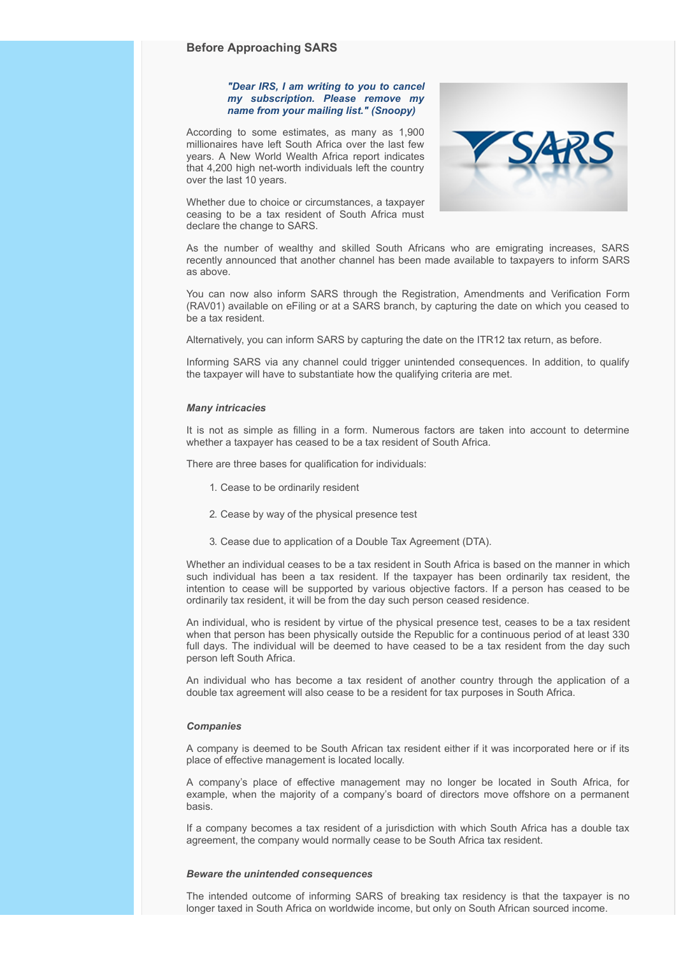#### *"Dear IRS, I am writing to you to cancel my subscription. Please remove my name from your mailing list." (Snoopy)*

According to some estimates, as many as 1,900 millionaires have left South Africa over the last few years. A New World Wealth Africa report indicates that 4,200 high net-worth individuals left the country over the last 10 years.



Whether due to choice or circumstances, a taxpayer ceasing to be a tax resident of South Africa must declare the change to SARS.

As the number of wealthy and skilled South Africans who are emigrating increases, SARS recently announced that another channel has been made available to taxpayers to inform SARS as above.

You can now also inform SARS through the Registration, Amendments and Verification Form (RAV01) available on eFiling or at a SARS branch, by capturing the date on which you ceased to be a tax resident.

Alternatively, you can inform SARS by capturing the date on the ITR12 tax return, as before.

Informing SARS via any channel could trigger unintended consequences. In addition, to qualify the taxpayer will have to substantiate how the qualifying criteria are met.

#### *Many intricacies*

It is not as simple as filling in a form. Numerous factors are taken into account to determine whether a taxpayer has ceased to be a tax resident of South Africa.

There are three bases for qualification for individuals:

- 1. Cease to be ordinarily resident
- 2. Cease by way of the physical presence test
- 3. Cease due to application of a Double Tax Agreement (DTA).

Whether an individual ceases to be a tax resident in South Africa is based on the manner in which such individual has been a tax resident. If the taxpayer has been ordinarily tax resident, the intention to cease will be supported by various objective factors. If a person has ceased to be ordinarily tax resident, it will be from the day such person ceased residence.

An individual, who is resident by virtue of the physical presence test, ceases to be a tax resident when that person has been physically outside the Republic for a continuous period of at least 330 full days. The individual will be deemed to have ceased to be a tax resident from the day such person left South Africa.

An individual who has become a tax resident of another country through the application of a double tax agreement will also cease to be a resident for tax purposes in South Africa.

#### *Companies*

A company is deemed to be South African tax resident either if it was incorporated here or if its place of effective management is located locally.

A company's place of effective management may no longer be located in South Africa, for example, when the majority of a company's board of directors move offshore on a permanent basis.

If a company becomes a tax resident of a jurisdiction with which South Africa has a double tax agreement, the company would normally cease to be South Africa tax resident.

#### *Beware the unintended consequences*

The intended outcome of informing SARS of breaking tax residency is that the taxpayer is no longer taxed in South Africa on worldwide income, but only on South African sourced income.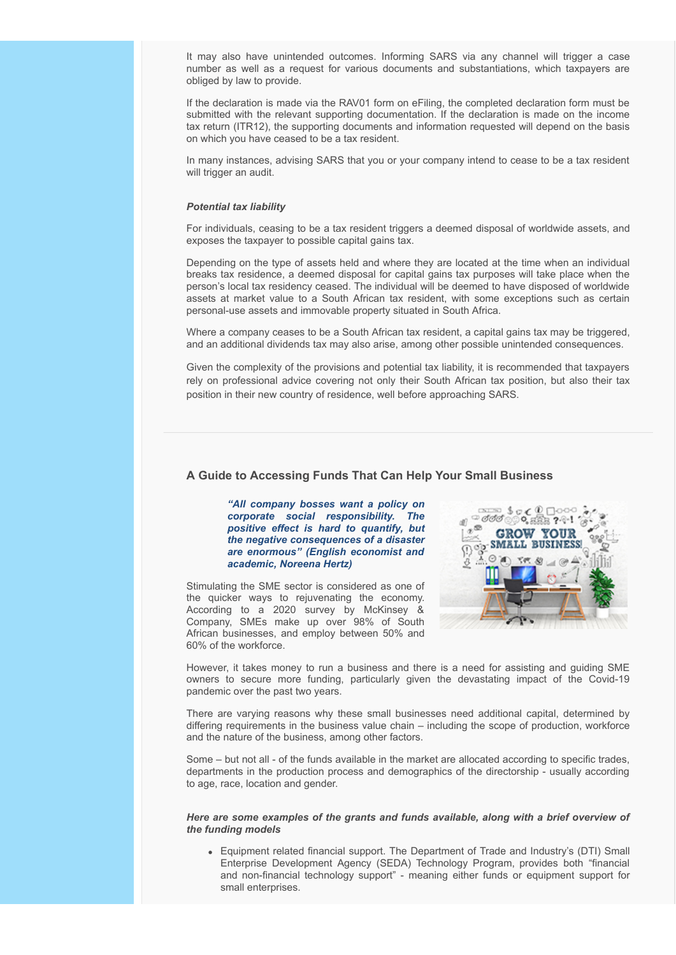It may also have unintended outcomes. Informing SARS via any channel will trigger a case number as well as a request for various documents and substantiations, which taxpayers are obliged by law to provide.

If the declaration is made via the RAV01 form on eFiling, the completed declaration form must be submitted with the relevant supporting documentation. If the declaration is made on the income tax return (ITR12), the supporting documents and information requested will depend on the basis on which you have ceased to be a tax resident.

In many instances, advising SARS that you or your company intend to cease to be a tax resident will trigger an audit.

#### *Potential tax liability*

For individuals, ceasing to be a tax resident triggers a deemed disposal of worldwide assets, and exposes the taxpayer to possible capital gains tax.

Depending on the type of assets held and where they are located at the time when an individual breaks tax residence, a deemed disposal for capital gains tax purposes will take place when the person's local tax residency ceased. The individual will be deemed to have disposed of worldwide assets at market value to a South African tax resident, with some exceptions such as certain personal-use assets and immovable property situated in South Africa.

Where a company ceases to be a South African tax resident, a capital gains tax may be triggered, and an additional dividends tax may also arise, among other possible unintended consequences.

Given the complexity of the provisions and potential tax liability, it is recommended that taxpayers rely on professional advice covering not only their South African tax position, but also their tax position in their new country of residence, well before approaching SARS.

#### <span id="page-6-0"></span>**A Guide to Accessing Funds That Can Help Your Small Business**

*"All company bosses want a policy on corporate social responsibility. The positive effect is hard to quantify, but the negative consequences of a disaster are enormous" (English economist and academic, Noreena Hertz)*

Stimulating the SME sector is considered as one of the quicker ways to rejuvenating the economy. According to a 2020 survey by McKinsey & Company, SMEs make up over 98% of South African businesses, and employ between 50% and 60% of the workforce.



However, it takes money to run a business and there is a need for assisting and guiding SME owners to secure more funding, particularly given the devastating impact of the Covid-19 pandemic over the past two years.

There are varying reasons why these small businesses need additional capital, determined by differing requirements in the business value chain – including the scope of production, workforce and the nature of the business, among other factors.

Some – but not all - of the funds available in the market are allocated according to specific trades, departments in the production process and demographics of the directorship - usually according to age, race, location and gender.

#### *Here are some examples of the grants and funds available, along with a brief overview of the funding models*

Equipment related financial support. The Department of Trade and Industry's (DTI) Small Enterprise Development Agency (SEDA) Technology Program, provides both "financial and non-financial technology support" - meaning either funds or equipment support for small enterprises.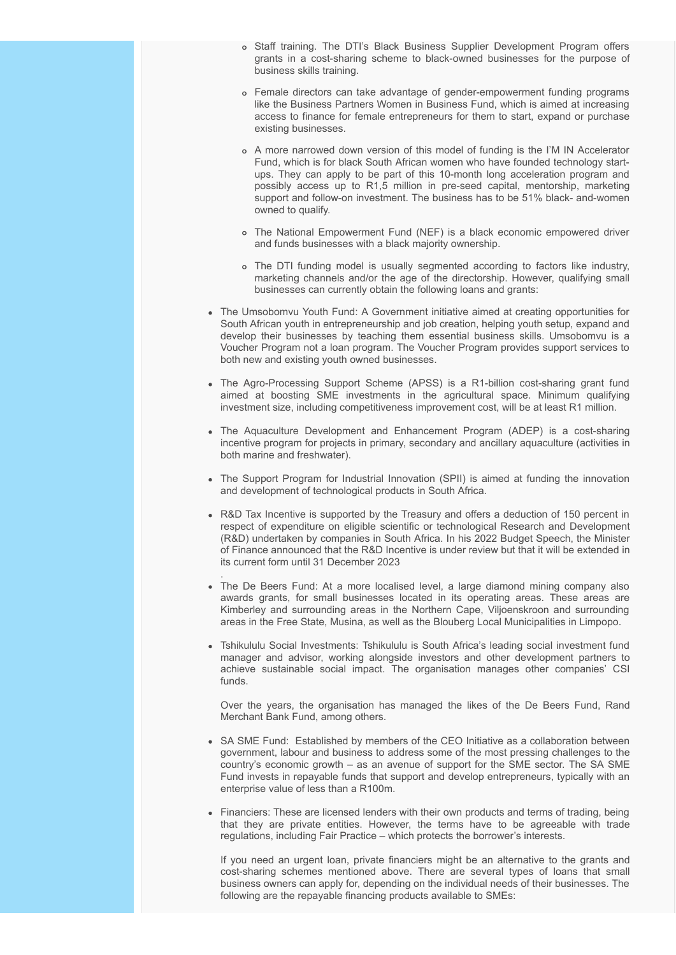- o Staff training. The DTI's Black Business Supplier Development Program offers grants in a cost-sharing scheme to black-owned businesses for the purpose of business skills training.
- Female directors can take advantage of gender-empowerment funding programs like the Business Partners Women in Business Fund, which is aimed at increasing access to finance for female entrepreneurs for them to start, expand or purchase existing businesses.
- A more narrowed down version of this model of funding is the I'M IN Accelerator Fund, which is for black South African women who have founded technology startups. They can apply to be part of this 10-month long acceleration program and possibly access up to R1,5 million in pre-seed capital, mentorship, marketing support and follow-on investment. The business has to be 51% black- and-women owned to qualify.
- The National Empowerment Fund (NEF) is a black economic empowered driver and funds businesses with a black majority ownership.
- The DTI funding model is usually segmented according to factors like industry, marketing channels and/or the age of the directorship. However, qualifying small businesses can currently obtain the following loans and grants:
- The Umsobomvu Youth Fund: A Government initiative aimed at creating opportunities for South African youth in entrepreneurship and job creation, helping youth setup, expand and develop their businesses by teaching them essential business skills. Umsobomvu is a Voucher Program not a loan program. The Voucher Program provides support services to both new and existing youth owned businesses.
- The Agro-Processing Support Scheme (APSS) is a R1-billion cost-sharing grant fund aimed at boosting SME investments in the agricultural space. Minimum qualifying investment size, including competitiveness improvement cost, will be at least R1 million.
- The Aquaculture Development and Enhancement Program (ADEP) is a cost-sharing incentive program for projects in primary, secondary and ancillary aquaculture (activities in both marine and freshwater).
- The Support Program for Industrial Innovation (SPII) is aimed at funding the innovation and development of technological products in South Africa.
- R&D Tax Incentive is supported by the Treasury and offers a deduction of 150 percent in respect of expenditure on eligible scientific or technological Research and Development (R&D) undertaken by companies in South Africa. In his 2022 Budget Speech, the Minister of Finance announced that the R&D Incentive is under review but that it will be extended in its current form until 31 December 2023
- . The De Beers Fund: At a more localised level, a large diamond mining company also awards grants, for small businesses located in its operating areas. These areas are Kimberley and surrounding areas in the Northern Cape, Viljoenskroon and surrounding areas in the Free State, Musina, as well as the Blouberg Local Municipalities in Limpopo.
- Tshikululu Social Investments: Tshikululu is South Africa's leading social investment fund manager and advisor, working alongside investors and other development partners to achieve sustainable social impact. The organisation manages other companies' CSI funds.

Over the years, the organisation has managed the likes of the De Beers Fund, Rand Merchant Bank Fund, among others.

- SA SME Fund: Established by members of the CEO Initiative as a collaboration between government, labour and business to address some of the most pressing challenges to the country's economic growth – as an avenue of support for the SME sector. The SA SME Fund invests in repayable funds that support and develop entrepreneurs, typically with an enterprise value of less than a R100m.
- Financiers: These are licensed lenders with their own products and terms of trading, being that they are private entities. However, the terms have to be agreeable with trade regulations, including Fair Practice – which protects the borrower's interests.

If you need an urgent loan, private financiers might be an alternative to the grants and cost-sharing schemes mentioned above. There are several types of loans that small business owners can apply for, depending on the individual needs of their businesses. The following are the repayable financing products available to SMEs: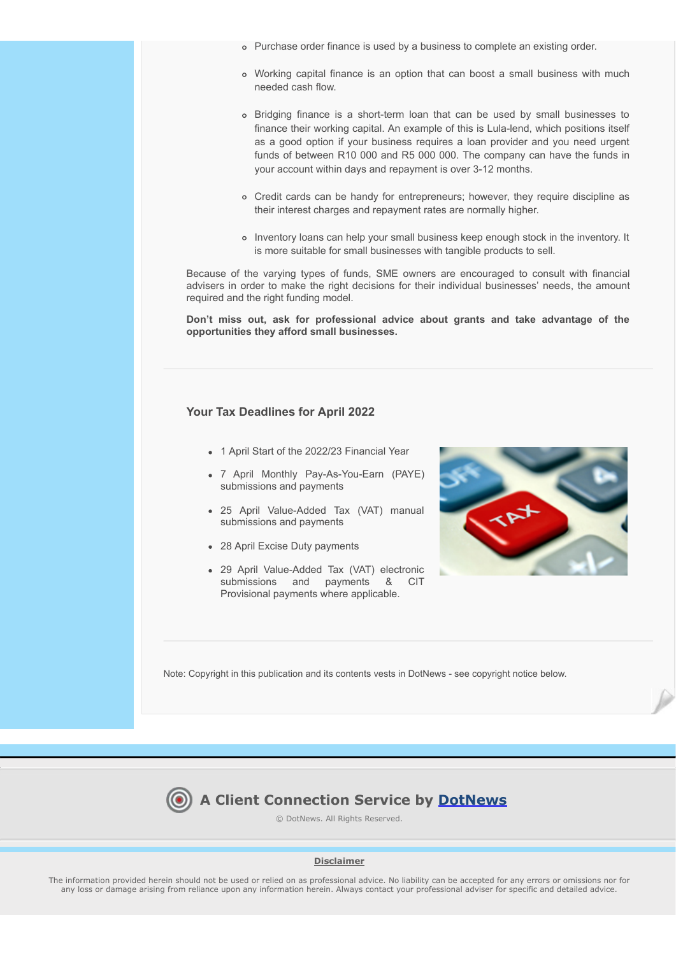- Purchase order finance is used by a business to complete an existing order.
- Working capital finance is an option that can boost a small business with much needed cash flow.
- Bridging finance is a short-term loan that can be used by small businesses to finance their working capital. An example of this is Lula-lend, which positions itself as a good option if your business requires a loan provider and you need urgent funds of between R10 000 and R5 000 000. The company can have the funds in your account within days and repayment is over 3-12 months.
- Credit cards can be handy for entrepreneurs; however, they require discipline as their interest charges and repayment rates are normally higher.
- o Inventory loans can help your small business keep enough stock in the inventory. It is more suitable for small businesses with tangible products to sell.

Because of the varying types of funds, SME owners are encouraged to consult with financial advisers in order to make the right decisions for their individual businesses' needs, the amount required and the right funding model.

**Don't miss out, ask for professional advice about grants and take advantage of the opportunities they afford small businesses.**

#### <span id="page-8-0"></span>**Your Tax Deadlines for April 2022**

- 1 April Start of the 2022/23 Financial Year
- 7 April Monthly Pay-As-You-Earn (PAYE) submissions and payments
- 25 April Value-Added Tax (VAT) manual submissions and payments
- 28 April Excise Duty payments
- 29 April Value-Added Tax (VAT) electronic submissions and payments & CIT Provisional payments where applicable.



Note: Copyright in this publication and its contents vests in DotNews - see copyright notice below.



© DotNews. All Rights Reserved.

#### **Disclaimer**

The information provided herein should not be used or relied on as professional advice. No liability can be accepted for any errors or omissions nor for any loss or damage arising from reliance upon any information herein. Always contact your professional adviser for specific and detailed advice.